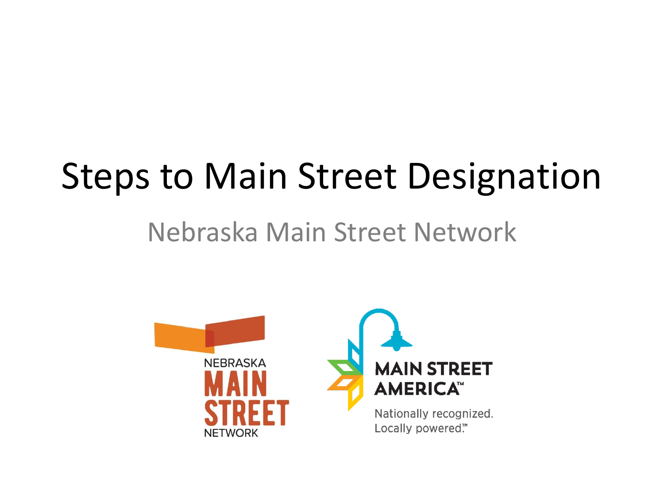## Steps to Main Street Designation

#### Nebraska Main Street Network

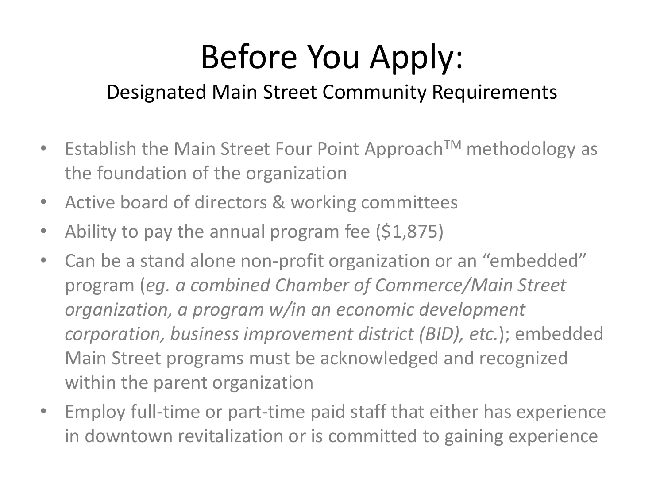## Before You Apply:

#### Designated Main Street Community Requirements

- Establish the Main Street Four Point Approach<sup>TM</sup> methodology as the foundation of the organization
- Active board of directors & working committees
- Ability to pay the annual program fee (\$1,875)
- Can be a stand alone non-profit organization or an "embedded" program (*eg. a combined Chamber of Commerce/Main Street organization, a program w/in an economic development corporation, business improvement district (BID), etc.*); embedded Main Street programs must be acknowledged and recognized within the parent organization
- Employ full-time or part-time paid staff that either has experience in downtown revitalization or is committed to gaining experience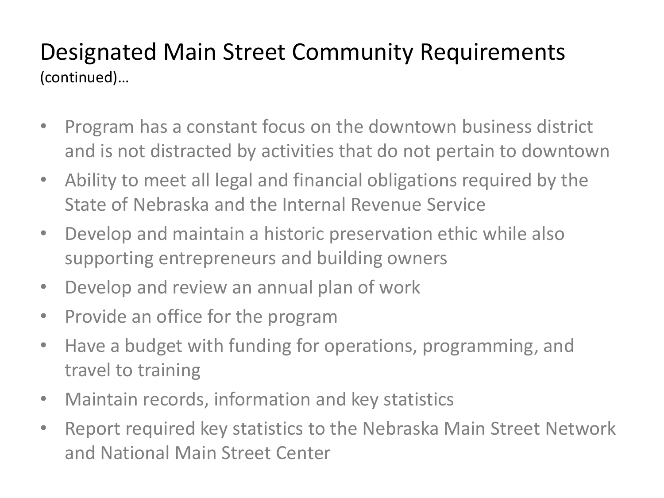#### Designated Main Street Community Requirements (continued)…

- Program has a constant focus on the downtown business district and is not distracted by activities that do not pertain to downtown
- Ability to meet all legal and financial obligations required by the State of Nebraska and the Internal Revenue Service
- Develop and maintain a historic preservation ethic while also supporting entrepreneurs and building owners
- Develop and review an annual plan of work
- Provide an office for the program
- Have a budget with funding for operations, programming, and travel to training
- Maintain records, information and key statistics
- Report required key statistics to the Nebraska Main Street Network and National Main Street Center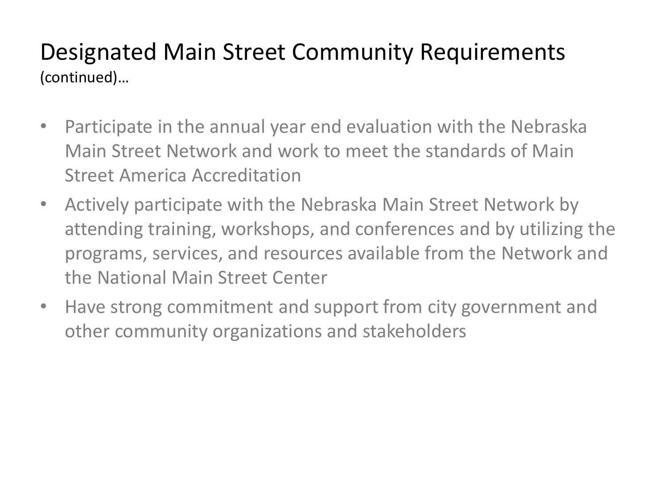#### Designated Main Street Community Requirements (continued)…

- Participate in the annual year end evaluation with the Nebraska Main Street Network and work to meet the standards of Main Street America Accreditation
- Actively participate with the Nebraska Main Street Network by attending training, workshops, and conferences and by utilizing the programs, services, and resources available from the Network and the National Main Street Center
- Have strong commitment and support from city government and other community organizations and stakeholders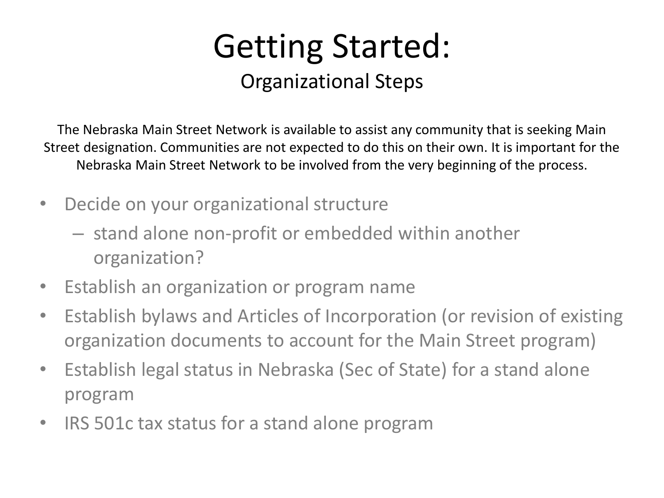### Getting Started: Organizational Steps

The Nebraska Main Street Network is available to assist any community that is seeking Main Street designation. Communities are not expected to do this on their own. It is important for the Nebraska Main Street Network to be involved from the very beginning of the process.

- Decide on your organizational structure
	- stand alone non-profit or embedded within another organization?
- Establish an organization or program name
- Establish bylaws and Articles of Incorporation (or revision of existing organization documents to account for the Main Street program)
- Establish legal status in Nebraska (Sec of State) for a stand alone program
- IRS 501c tax status for a stand alone program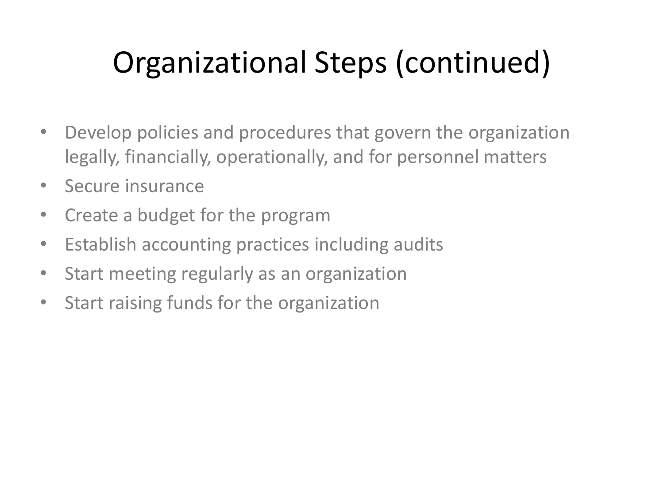## Organizational Steps (continued)

- Develop policies and procedures that govern the organization legally, financially, operationally, and for personnel matters
- Secure insurance
- Create a budget for the program
- Establish accounting practices including audits
- Start meeting regularly as an organization
- Start raising funds for the organization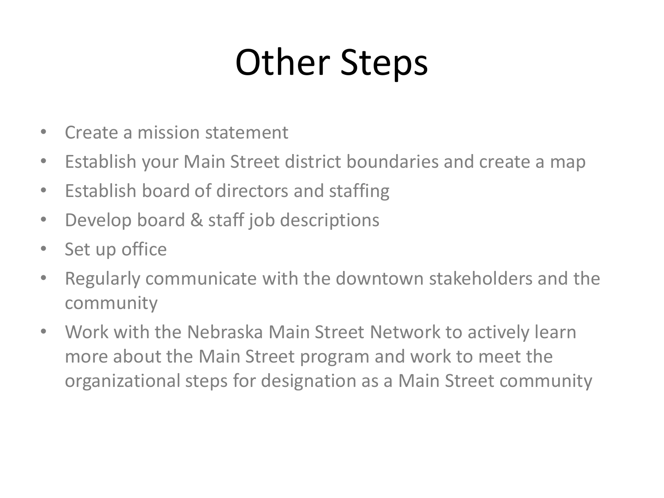# Other Steps

- Create a mission statement
- Establish your Main Street district boundaries and create a map
- Establish board of directors and staffing
- Develop board & staff job descriptions
- Set up office
- Regularly communicate with the downtown stakeholders and the community
- Work with the Nebraska Main Street Network to actively learn more about the Main Street program and work to meet the organizational steps for designation as a Main Street community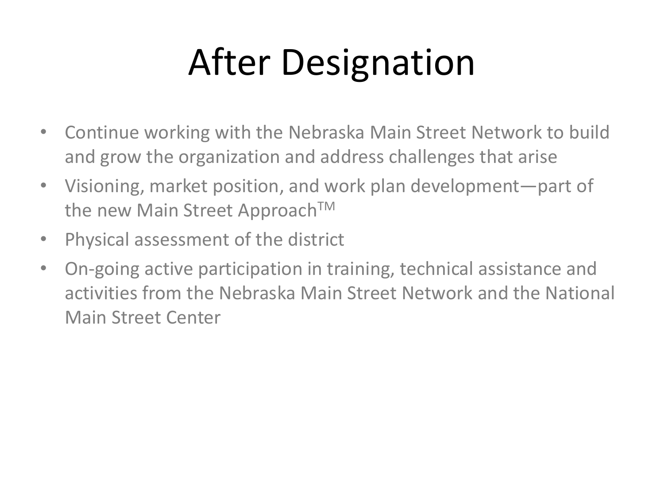# After Designation

- Continue working with the Nebraska Main Street Network to build and grow the organization and address challenges that arise
- Visioning, market position, and work plan development—part of the new Main Street Approach™
- Physical assessment of the district
- On-going active participation in training, technical assistance and activities from the Nebraska Main Street Network and the National Main Street Center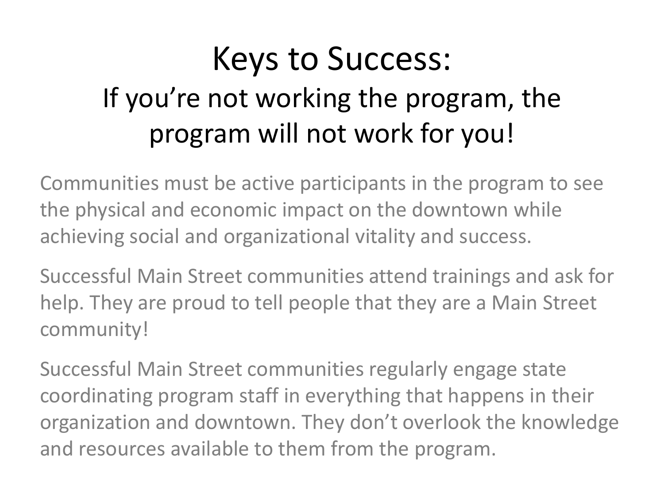### Keys to Success: If you're not working the program, the program will not work for you!

Communities must be active participants in the program to see the physical and economic impact on the downtown while achieving social and organizational vitality and success.

Successful Main Street communities attend trainings and ask for help. They are proud to tell people that they are a Main Street community!

Successful Main Street communities regularly engage state coordinating program staff in everything that happens in their organization and downtown. They don't overlook the knowledge and resources available to them from the program.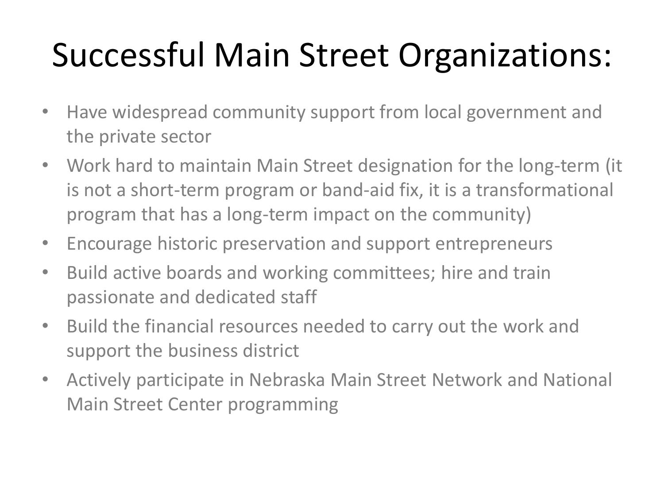## Successful Main Street Organizations:

- Have widespread community support from local government and the private sector
- Work hard to maintain Main Street designation for the long-term (it is not a short-term program or band-aid fix, it is a transformational program that has a long-term impact on the community)
- Encourage historic preservation and support entrepreneurs
- Build active boards and working committees; hire and train passionate and dedicated staff
- Build the financial resources needed to carry out the work and support the business district
- Actively participate in Nebraska Main Street Network and National Main Street Center programming